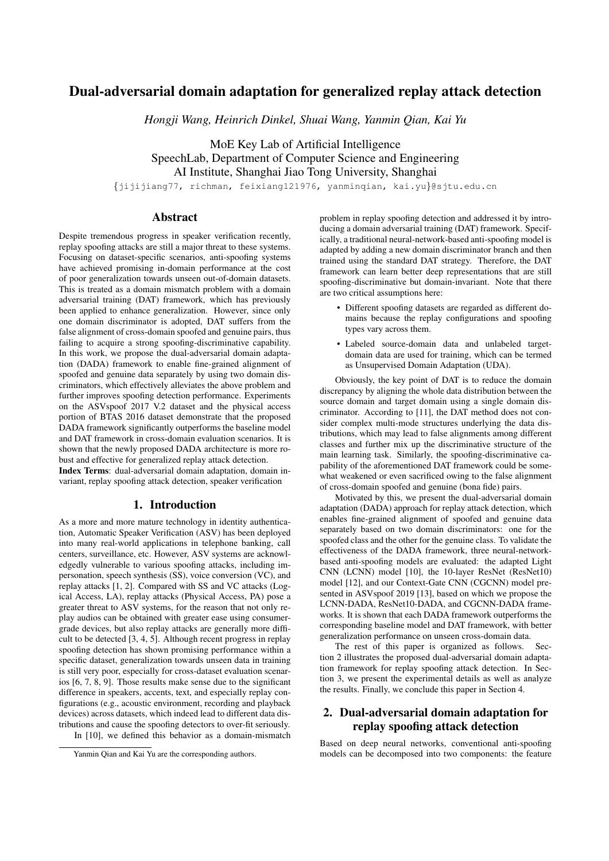# Dual-adversarial domain adaptation for generalized replay attack detection

*Hongji Wang, Heinrich Dinkel, Shuai Wang, Yanmin Qian, Kai Yu*

MoE Key Lab of Artificial Intelligence SpeechLab, Department of Computer Science and Engineering AI Institute, Shanghai Jiao Tong University, Shanghai

{jijijiang77, richman, feixiang121976, yanminqian, kai.yu}@sjtu.edu.cn

# Abstract

Despite tremendous progress in speaker verification recently, replay spoofing attacks are still a major threat to these systems. Focusing on dataset-specific scenarios, anti-spoofing systems have achieved promising in-domain performance at the cost of poor generalization towards unseen out-of-domain datasets. This is treated as a domain mismatch problem with a domain adversarial training (DAT) framework, which has previously been applied to enhance generalization. However, since only one domain discriminator is adopted, DAT suffers from the false alignment of cross-domain spoofed and genuine pairs, thus failing to acquire a strong spoofing-discriminative capability. In this work, we propose the dual-adversarial domain adaptation (DADA) framework to enable fine-grained alignment of spoofed and genuine data separately by using two domain discriminators, which effectively alleviates the above problem and further improves spoofing detection performance. Experiments on the ASVspoof 2017 V.2 dataset and the physical access portion of BTAS 2016 dataset demonstrate that the proposed DADA framework significantly outperforms the baseline model and DAT framework in cross-domain evaluation scenarios. It is shown that the newly proposed DADA architecture is more robust and effective for generalized replay attack detection.

Index Terms: dual-adversarial domain adaptation, domain invariant, replay spoofing attack detection, speaker verification

# 1. Introduction

As a more and more mature technology in identity authentication, Automatic Speaker Verification (ASV) has been deployed into many real-world applications in telephone banking, call centers, surveillance, etc. However, ASV systems are acknowledgedly vulnerable to various spoofing attacks, including impersonation, speech synthesis (SS), voice conversion (VC), and replay attacks [1, 2]. Compared with SS and VC attacks (Logical Access, LA), replay attacks (Physical Access, PA) pose a greater threat to ASV systems, for the reason that not only replay audios can be obtained with greater ease using consumergrade devices, but also replay attacks are generally more difficult to be detected [3, 4, 5]. Although recent progress in replay spoofing detection has shown promising performance within a specific dataset, generalization towards unseen data in training is still very poor, especially for cross-dataset evaluation scenarios [6, 7, 8, 9]. Those results make sense due to the significant difference in speakers, accents, text, and especially replay configurations (e.g., acoustic environment, recording and playback devices) across datasets, which indeed lead to different data distributions and cause the spoofing detectors to over-fit seriously. In [10], we defined this behavior as a domain-mismatch

Yanmin Qian and Kai Yu are the corresponding authors.

problem in replay spoofing detection and addressed it by introducing a domain adversarial training (DAT) framework. Specifically, a traditional neural-network-based anti-spoofing model is adapted by adding a new domain discriminator branch and then trained using the standard DAT strategy. Therefore, the DAT framework can learn better deep representations that are still spoofing-discriminative but domain-invariant. Note that there are two critical assumptions here:

- Different spoofing datasets are regarded as different domains because the replay configurations and spoofing types vary across them.
- Labeled source-domain data and unlabeled targetdomain data are used for training, which can be termed as Unsupervised Domain Adaptation (UDA).

Obviously, the key point of DAT is to reduce the domain discrepancy by aligning the whole data distribution between the source domain and target domain using a single domain discriminator. According to [11], the DAT method does not consider complex multi-mode structures underlying the data distributions, which may lead to false alignments among different classes and further mix up the discriminative structure of the main learning task. Similarly, the spoofing-discriminative capability of the aforementioned DAT framework could be somewhat weakened or even sacrificed owing to the false alignment of cross-domain spoofed and genuine (bona fide) pairs.

Motivated by this, we present the dual-adversarial domain adaptation (DADA) approach for replay attack detection, which enables fine-grained alignment of spoofed and genuine data separately based on two domain discriminators: one for the spoofed class and the other for the genuine class. To validate the effectiveness of the DADA framework, three neural-networkbased anti-spoofing models are evaluated: the adapted Light CNN (LCNN) model [10], the 10-layer ResNet (ResNet10) model [12], and our Context-Gate CNN (CGCNN) model presented in ASVspoof 2019 [13], based on which we propose the LCNN-DADA, ResNet10-DADA, and CGCNN-DADA frameworks. It is shown that each DADA framework outperforms the corresponding baseline model and DAT framework, with better generalization performance on unseen cross-domain data.

The rest of this paper is organized as follows. Section 2 illustrates the proposed dual-adversarial domain adaptation framework for replay spoofing attack detection. In Section 3, we present the experimental details as well as analyze the results. Finally, we conclude this paper in Section 4.

# 2. Dual-adversarial domain adaptation for replay spoofing attack detection

Based on deep neural networks, conventional anti-spoofing models can be decomposed into two components: the feature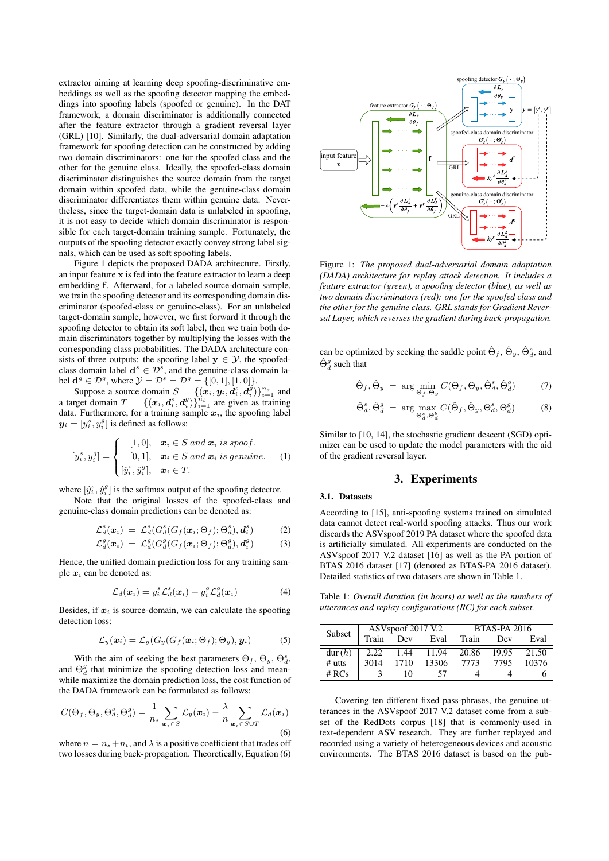extractor aiming at learning deep spoofing-discriminative embeddings as well as the spoofing detector mapping the embeddings into spoofing labels (spoofed or genuine). In the DAT framework, a domain discriminator is additionally connected after the feature extractor through a gradient reversal layer (GRL) [10]. Similarly, the dual-adversarial domain adaptation framework for spoofing detection can be constructed by adding two domain discriminators: one for the spoofed class and the other for the genuine class. Ideally, the spoofed-class domain discriminator distinguishes the source domain from the target domain within spoofed data, while the genuine-class domain discriminator differentiates them within genuine data. Nevertheless, since the target-domain data is unlabeled in spoofing, it is not easy to decide which domain discriminator is responsible for each target-domain training sample. Fortunately, the outputs of the spoofing detector exactly convey strong label signals, which can be used as soft spoofing labels.

Figure 1 depicts the proposed DADA architecture. Firstly, an input feature  $x$  is fed into the feature extractor to learn a deep embedding f. Afterward, for a labeled source-domain sample, we train the spoofing detector and its corresponding domain discriminator (spoofed-class or genuine-class). For an unlabeled target-domain sample, however, we first forward it through the spoofing detector to obtain its soft label, then we train both domain discriminators together by multiplying the losses with the corresponding class probabilities. The DADA architecture consists of three outputs: the spoofing label  $y \in \mathcal{Y}$ , the spoofedclass domain label  $\mathbf{d}^s \in \mathcal{D}^s$ , and the genuine-class domain label  $\mathbf{d}^g \in \mathcal{D}^g$ , where  $\mathcal{Y} = \mathcal{D}^s = \mathcal{D}^g = \{[0, 1], [1, 0]\}.$ 

Suppose a source domain  $S = \{(\mathbf{x}_i, \mathbf{y}_i, \mathbf{d}_i^s, \mathbf{d}_i^g)\}_{i=1}^{n_s}$  and a target domain  $T = \{(\boldsymbol{x}_i, \boldsymbol{d}_i^s, \boldsymbol{d}_i^g)\}_{i=1}^{n_t}$  are given as training data. Furthermore, for a training sample  $x_i$ , the spoofing label  $y_i = [y_i^s, y_i^g]$  is defined as follows:

$$
[y_i^s, y_i^g] = \begin{cases} [1, 0], & \mathbf{x}_i \in S \text{ and } \mathbf{x}_i \text{ is proof.} \\ [0, 1], & \mathbf{x}_i \in S \text{ and } \mathbf{x}_i \text{ is genuine.} \\ [\hat{y}_i^s, \hat{y}_i^g], & \mathbf{x}_i \in T. \end{cases} \tag{1}
$$

where  $[\hat{y}_i^s, \hat{y}_i^g]$  is the softmax output of the spoofing detector.

Note that the original losses of the spoofed-class and genuine-class domain predictions can be denoted as:

$$
\mathcal{L}_d^s(\boldsymbol{x}_i) = \mathcal{L}_d^s(G_d^s(G_f(\boldsymbol{x}_i;\Theta_f); \Theta_d^s), \boldsymbol{d}_i^s)
$$
(2)

$$
\mathcal{L}_d^g(\boldsymbol{x}_i) = \mathcal{L}_d^g(G_d^g(G_f(\boldsymbol{x}_i;\Theta_f);\Theta_d^g),\boldsymbol{d}_i^g)
$$
(3)

Hence, the unified domain prediction loss for any training sample  $x_i$  can be denoted as:

$$
\mathcal{L}_d(\boldsymbol{x}_i) = y_i^s \mathcal{L}_d^s(\boldsymbol{x}_i) + y_i^g \mathcal{L}_d^g(\boldsymbol{x}_i)
$$
(4)

Besides, if  $x_i$  is source-domain, we can calculate the spoofing detection loss:

$$
\mathcal{L}_y(\boldsymbol{x}_i) = \mathcal{L}_y(G_y(G_f(\boldsymbol{x}_i;\Theta_f); \Theta_y), \boldsymbol{y}_i)
$$
 (5)

With the aim of seeking the best parameters  $\Theta_f$ ,  $\Theta_y$ ,  $\Theta_d^s$ , and  $\Theta_d^g$  that minimize the spoofing detection loss and meanwhile maximize the domain prediction loss, the cost function of the DADA framework can be formulated as follows:

$$
C(\Theta_f, \Theta_y, \Theta_d^s, \Theta_d^g) = \frac{1}{n_s} \sum_{\mathbf{x}_i \in S} \mathcal{L}_y(\mathbf{x}_i) - \frac{\lambda}{n} \sum_{\mathbf{x}_i \in S \cup T} \mathcal{L}_d(\mathbf{x}_i)
$$
\n(6)

where  $n = n_s + n_t$ , and  $\lambda$  is a positive coefficient that trades off two losses during back-propagation. Theoretically, Equation (6)



Figure 1: *The proposed dual-adversarial domain adaptation (DADA) architecture for replay attack detection. It includes a feature extractor (green), a spoofing detector (blue), as well as two domain discriminators (red): one for the spoofed class and the other for the genuine class. GRL stands for Gradient Reversal Layer, which reverses the gradient during back-propagation.*

can be optimized by seeking the saddle point  $\hat{\Theta}_f$ ,  $\hat{\Theta}_y$ ,  $\hat{\Theta}_d^s$ , and  $\hat{\Theta}_d^g$  such that

$$
\hat{\Theta}_f, \hat{\Theta}_y = \arg\min_{\Theta_f, \Theta_y} C(\Theta_f, \Theta_y, \hat{\Theta}_d^s, \hat{\Theta}_d^g)
$$
(7)

$$
\hat{\Theta}_d^s, \hat{\Theta}_d^g = \arg \max_{\Theta_d^s, \Theta_d^g} C(\hat{\Theta}_f, \hat{\Theta}_y, \Theta_d^s, \Theta_d^g)
$$
(8)

Similar to [10, 14], the stochastic gradient descent (SGD) optimizer can be used to update the model parameters with the aid of the gradient reversal layer.

# 3. Experiments

## 3.1. Datasets

According to [15], anti-spoofing systems trained on simulated data cannot detect real-world spoofing attacks. Thus our work discards the ASVspoof 2019 PA dataset where the spoofed data is artificially simulated. All experiments are conducted on the ASVspoof 2017 V.2 dataset [16] as well as the PA portion of BTAS 2016 dataset [17] (denoted as BTAS-PA 2016 dataset). Detailed statistics of two datasets are shown in Table 1.

Table 1: *Overall duration (in hours) as well as the numbers of utterances and replay configurations (RC) for each subset.*

| Subset   | ASV <sub>spoof</sub> 2017 V.2 |      |       | <b>BTAS-PA 2016</b> |       |       |
|----------|-------------------------------|------|-------|---------------------|-------|-------|
|          | Train                         | Dev  | Eval  | Train               | Dev   | Eval  |
| dur(h)   | 2.22                          | 1.44 | 11.94 | 20.86               | 19.95 | 21.50 |
| $#$ utts | 3014                          | 1710 | 13306 | 7773                | 7795  | 10376 |
| # RCs    |                               | 10   | 57    |                     |       |       |

Covering ten different fixed pass-phrases, the genuine utterances in the ASVspoof 2017 V.2 dataset come from a subset of the RedDots corpus [18] that is commonly-used in text-dependent ASV research. They are further replayed and recorded using a variety of heterogeneous devices and acoustic environments. The BTAS 2016 dataset is based on the pub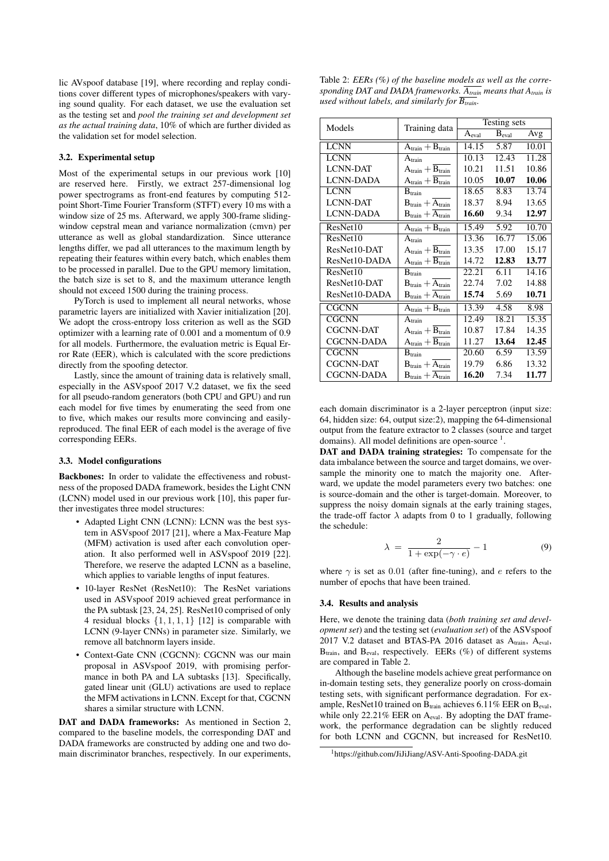lic AVspoof database [19], where recording and replay conditions cover different types of microphones/speakers with varying sound quality. For each dataset, we use the evaluation set as the testing set and *pool the training set and development set as the actual training data*, 10% of which are further divided as the validation set for model selection.

### 3.2. Experimental setup

Most of the experimental setups in our previous work [10] are reserved here. Firstly, we extract 257-dimensional log power spectrograms as front-end features by computing 512 point Short-Time Fourier Transform (STFT) every 10 ms with a window size of 25 ms. Afterward, we apply 300-frame slidingwindow cepstral mean and variance normalization (cmvn) per utterance as well as global standardization. Since utterance lengths differ, we pad all utterances to the maximum length by repeating their features within every batch, which enables them to be processed in parallel. Due to the GPU memory limitation, the batch size is set to 8, and the maximum utterance length should not exceed 1500 during the training process.

PyTorch is used to implement all neural networks, whose parametric layers are initialized with Xavier initialization [20]. We adopt the cross-entropy loss criterion as well as the SGD optimizer with a learning rate of 0.001 and a momentum of 0.9 for all models. Furthermore, the evaluation metric is Equal Error Rate (EER), which is calculated with the score predictions directly from the spoofing detector.

Lastly, since the amount of training data is relatively small, especially in the ASVspoof 2017 V.2 dataset, we fix the seed for all pseudo-random generators (both CPU and GPU) and run each model for five times by enumerating the seed from one to five, which makes our results more convincing and easilyreproduced. The final EER of each model is the average of five corresponding EERs.

#### 3.3. Model configurations

Backbones: In order to validate the effectiveness and robustness of the proposed DADA framework, besides the Light CNN (LCNN) model used in our previous work [10], this paper further investigates three model structures:

- Adapted Light CNN (LCNN): LCNN was the best system in ASVspoof 2017 [21], where a Max-Feature Map (MFM) activation is used after each convolution operation. It also performed well in ASVspoof 2019 [22]. Therefore, we reserve the adapted LCNN as a baseline, which applies to variable lengths of input features.
- 10-layer ResNet (ResNet10): The ResNet variations used in ASVspoof 2019 achieved great performance in the PA subtask [23, 24, 25]. ResNet10 comprised of only 4 residual blocks  $\{1, 1, 1, 1\}$  [12] is comparable with LCNN (9-layer CNNs) in parameter size. Similarly, we remove all batchnorm layers inside.
- Context-Gate CNN (CGCNN): CGCNN was our main proposal in ASVspoof 2019, with promising performance in both PA and LA subtasks [13]. Specifically, gated linear unit (GLU) activations are used to replace the MFM activations in LCNN. Except for that, CGCNN shares a similar structure with LCNN.

DAT and DADA frameworks: As mentioned in Section 2, compared to the baseline models, the corresponding DAT and DADA frameworks are constructed by adding one and two domain discriminator branches, respectively. In our experiments,

Table 2: *EERs (%) of the baseline models as well as the corresponding DAT and DADA frameworks. Atrain means that Atrain is used without labels, and similarly for*  $\overline{B_{train}}$ *.* 

| Models            | Training data                         | Testing sets |                   |       |
|-------------------|---------------------------------------|--------------|-------------------|-------|
|                   |                                       | Aeval        | B <sub>eval</sub> | Avg   |
| <b>LCNN</b>       | $\rm A_{train} + B_{train}$           | 14.15        | 5.87              | 10.01 |
| <b>LCNN</b>       | $A_{\text{train}}$                    | 10.13        | 12.43             | 11.28 |
| <b>LCNN-DAT</b>   | $\rm A_{train} + B_{train}$           | 10.21        | 11.51             | 10.86 |
| <b>LCNN-DADA</b>  | $A_{train} + \overline{B_{train}}$    | 10.05        | 10.07             | 10.06 |
| <b>LCNN</b>       | $B_{\text{train}}$                    | 18.65        | 8.83              | 13.74 |
| <b>LCNN-DAT</b>   | $B_{\text{train}} + A_{\text{train}}$ | 18.37        | 8.94              | 13.65 |
| <b>LCNN-DADA</b>  | $B_{\text{train}} + A_{\text{train}}$ | 16.60        | 9.34              | 12.97 |
| ResNet10          | $A_{\text{train}} + B_{\text{train}}$ | 15.49        | 5.92              | 10.70 |
| ResNet10          | $\rm A_{train}$                       | 13.36        | 16.77             | 15.06 |
| ResNet10-DAT      | $\rm A_{train} + B_{train}$           | 13.35        | 17.00             | 15.17 |
| ResNet10-DADA     | $A_{\text{train}} + B_{\text{train}}$ | 14.72        | 12.83             | 13.77 |
| ResNet10          | $B_{\text{train}}$                    | 22.21        | 6.11              | 14.16 |
| ResNet10-DAT      | $B_{\text{train}} + A_{\text{train}}$ | 22.74        | 7.02              | 14.88 |
| ResNet10-DADA     | $B_{\text{train}} + A_{\text{train}}$ | 15.74        | 5.69              | 10.71 |
| <b>CGCNN</b>      | $A_{\text{train}} + B_{\text{train}}$ | 13.39        | 4.58              | 8.98  |
| <b>CGCNN</b>      | $\rm A_{train}$                       | 12.49        | 18.21             | 15.35 |
| <b>CGCNN-DAT</b>  | $\rm A_{train} + B_{train}$           | 10.87        | 17.84             | 14.35 |
| <b>CGCNN-DADA</b> | $A_{\text{train}} + B_{\text{train}}$ | 11.27        | 13.64             | 12.45 |
| <b>CGCNN</b>      | $B_{\text{train}}$                    | 20.60        | 6.59              | 13.59 |
| <b>CGCNN-DAT</b>  | $B_{\text{train}} + A_{\text{train}}$ | 19.79        | 6.86              | 13.32 |
| <b>CGCNN-DADA</b> | $B_{\text{train}} + A_{\text{train}}$ | 16.20        | 7.34              | 11.77 |

each domain discriminator is a 2-layer perceptron (input size: 64, hidden size: 64, output size:2), mapping the 64-dimensional output from the feature extractor to 2 classes (source and target domains). All model definitions are open-source  $<sup>1</sup>$ .</sup>

DAT and DADA training strategies: To compensate for the data imbalance between the source and target domains, we oversample the minority one to match the majority one. Afterward, we update the model parameters every two batches: one is source-domain and the other is target-domain. Moreover, to suppress the noisy domain signals at the early training stages, the trade-off factor  $\lambda$  adapts from 0 to 1 gradually, following the schedule:

$$
\lambda = \frac{2}{1 + \exp(-\gamma \cdot e)} - 1 \tag{9}
$$

where  $\gamma$  is set as 0.01 (after fine-tuning), and e refers to the number of epochs that have been trained.

#### 3.4. Results and analysis

Here, we denote the training data (*both training set and development set*) and the testing set (*evaluation set*) of the ASVspoof 2017 V.2 dataset and BTAS-PA 2016 dataset as A<sub>train</sub>, A<sub>eval</sub>,  $B_{train}$ , and  $B_{eval}$ , respectively. EERs (%) of different systems are compared in Table 2.

Although the baseline models achieve great performance on in-domain testing sets, they generalize poorly on cross-domain testing sets, with significant performance degradation. For example, ResNet10 trained on  $B_{train}$  achieves 6.11% EER on  $B_{eval}$ , while only 22.21% EER on A<sub>eval</sub>. By adopting the DAT framework, the performance degradation can be slightly reduced for both LCNN and CGCNN, but increased for ResNet10.

<sup>1</sup>https://github.com/JiJiJiang/ASV-Anti-Spoofing-DADA.git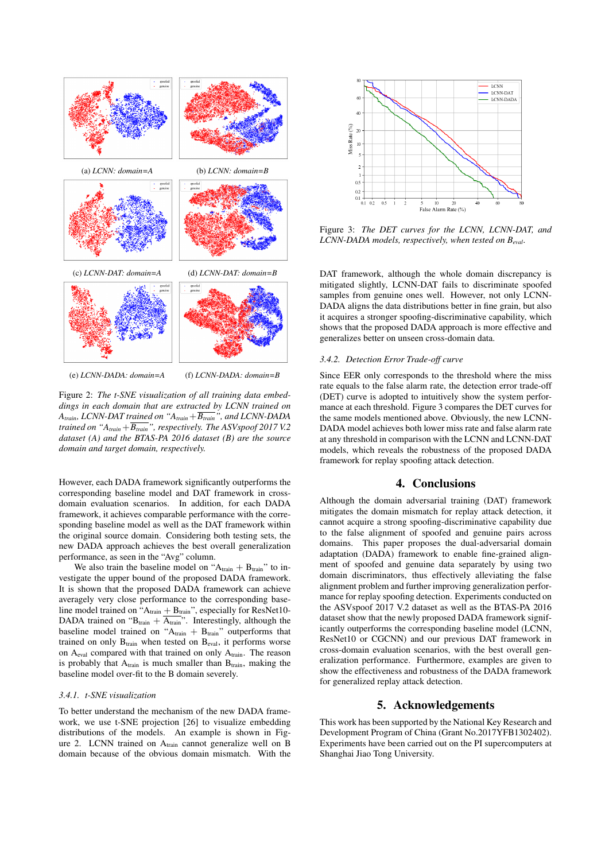

Figure 2: *The t-SNE visualization of all training data embeddings in each domain that are extracted by LCNN trained on Atrain, LCNN-DAT trained on "Atrain*+*Btrain", and LCNN-DADA trained on "A<sub>train</sub>*+ $\overline{B_{train}}$ ", *respectively. The ASVspoof 2017 V.2 dataset (A) and the BTAS-PA 2016 dataset (B) are the source domain and target domain, respectively.*

However, each DADA framework significantly outperforms the corresponding baseline model and DAT framework in crossdomain evaluation scenarios. In addition, for each DADA framework, it achieves comparable performance with the corresponding baseline model as well as the DAT framework within the original source domain. Considering both testing sets, the new DADA approach achieves the best overall generalization performance, as seen in the "Avg" column.

We also train the baseline model on " $A<sub>train</sub> + B<sub>train</sub>$ " to investigate the upper bound of the proposed DADA framework. It is shown that the proposed DADA framework can achieve averagely very close performance to the corresponding baseline model trained on " $A<sub>train</sub> + B<sub>train</sub>$ ", especially for ResNet10-DADA trained on " $B_{\text{train}} + \overline{A_{\text{train}}}$ ". Interestingly, although the baseline model trained on " $A<sub>train</sub> + B<sub>train</sub>$ " outperforms that trained on only  $B_{train}$  when tested on  $B_{eval}$ , it performs worse on Aeval compared with that trained on only Atrain. The reason is probably that  $A_{train}$  is much smaller than  $B_{train}$ , making the baseline model over-fit to the B domain severely.

### *3.4.1. t-SNE visualization*

To better understand the mechanism of the new DADA framework, we use t-SNE projection [26] to visualize embedding distributions of the models. An example is shown in Figure 2. LCNN trained on Atrain cannot generalize well on B domain because of the obvious domain mismatch. With the



Figure 3: *The DET curves for the LCNN, LCNN-DAT, and LCNN-DADA models, respectively, when tested on Beval.*

DAT framework, although the whole domain discrepancy is mitigated slightly, LCNN-DAT fails to discriminate spoofed samples from genuine ones well. However, not only LCNN-DADA aligns the data distributions better in fine grain, but also it acquires a stronger spoofing-discriminative capability, which shows that the proposed DADA approach is more effective and generalizes better on unseen cross-domain data.

### *3.4.2. Detection Error Trade-off curve*

Since EER only corresponds to the threshold where the miss rate equals to the false alarm rate, the detection error trade-off (DET) curve is adopted to intuitively show the system performance at each threshold. Figure 3 compares the DET curves for the same models mentioned above. Obviously, the new LCNN-DADA model achieves both lower miss rate and false alarm rate at any threshold in comparison with the LCNN and LCNN-DAT models, which reveals the robustness of the proposed DADA framework for replay spoofing attack detection.

# 4. Conclusions

Although the domain adversarial training (DAT) framework mitigates the domain mismatch for replay attack detection, it cannot acquire a strong spoofing-discriminative capability due to the false alignment of spoofed and genuine pairs across domains. This paper proposes the dual-adversarial domain adaptation (DADA) framework to enable fine-grained alignment of spoofed and genuine data separately by using two domain discriminators, thus effectively alleviating the false alignment problem and further improving generalization performance for replay spoofing detection. Experiments conducted on the ASVspoof 2017 V.2 dataset as well as the BTAS-PA 2016 dataset show that the newly proposed DADA framework significantly outperforms the corresponding baseline model (LCNN, ResNet10 or CGCNN) and our previous DAT framework in cross-domain evaluation scenarios, with the best overall generalization performance. Furthermore, examples are given to show the effectiveness and robustness of the DADA framework for generalized replay attack detection.

### 5. Acknowledgements

This work has been supported by the National Key Research and Development Program of China (Grant No.2017YFB1302402). Experiments have been carried out on the PI supercomputers at Shanghai Jiao Tong University.